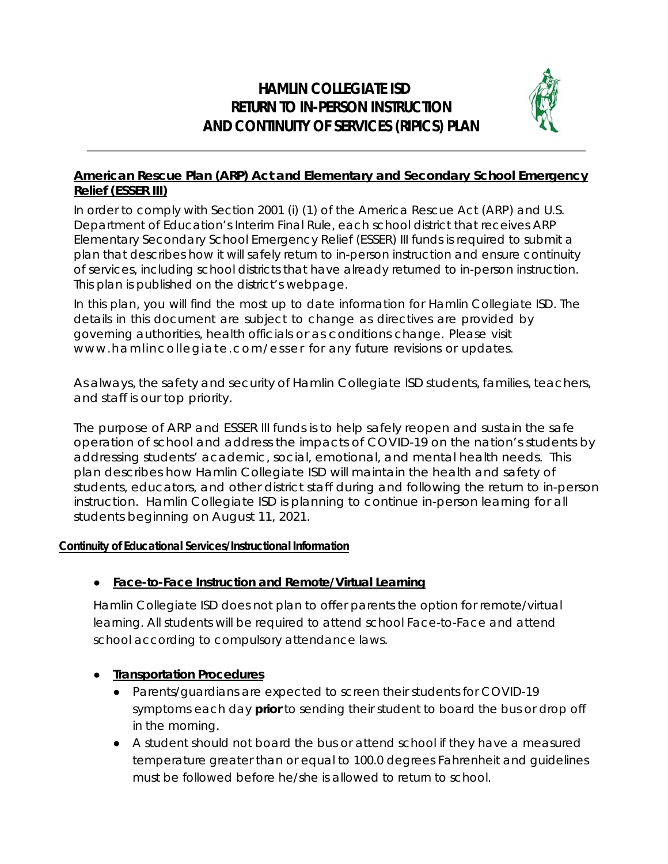# **HAMLIN COLLEGIATE ISD RETURN TO IN-PERSON INSTRUCTION AND CONTINUITY OF SERVICES (RIPICS) PLAN**



# **American Rescue Plan (ARP) Act and Elementary and Secondary School Emergency Relief (ESSER III)**

In order to comply with Section 2001 (i) (1) of the America Rescue Act (ARP) and U.S. Department of Education's Interim Final Rule, each school district that receives ARP Elementary Secondary School Emergency Relief (ESSER) III funds is required to submit a plan that describes how it will safely return to in-person instruction and ensure continuity of services, including school districts that have already returned to in-person instruction. This plan is published on the district's webpage.

In this plan, you will find the most up to date information for Hamlin Collegiate ISD. The details in this document are subject to change as directives are provided by governing authorities, health officials or as conditions change. Please visit www.hamlincollegiate.com/esser for any future revisions or updates.

As always, the safety and security of Hamlin Collegiate ISD students, families, teachers, and staff is our top priority.

The purpose of ARP and ESSER III funds is to help safely reopen and sustain the safe operation of school and address the impacts of COVID-19 on the nation's students by addressing students' academic, social, emotional, and mental health needs. This plan describes how Hamlin Collegiate ISD will maintain the health and safety of students, educators, and other district staff during and following the return to in-person instruction. Hamlin Collegiate ISD is planning to continue in-person learning for all students beginning on August 11, 2021.

#### **Continuity of Educational Services/Instructional Information**

#### ● **Face-to-Face Instruction and Remote/Virtual Learning**

Hamlin Collegiate ISD does not plan to offer parents the option for remote/virtual learning. All students will be required to attend school Face-to-Face and attend school according to compulsory attendance laws.

#### ● **Transportation Procedures**

- Parents/guardians are expected to screen their students for COVID-19 symptoms each day **prior** to sending their student to board the bus or drop off in the morning.
- A student should not board the bus or attend school if they have a measured temperature greater than or equal to 100.0 degrees Fahrenheit and guidelines must be followed before he/she is allowed to return to school.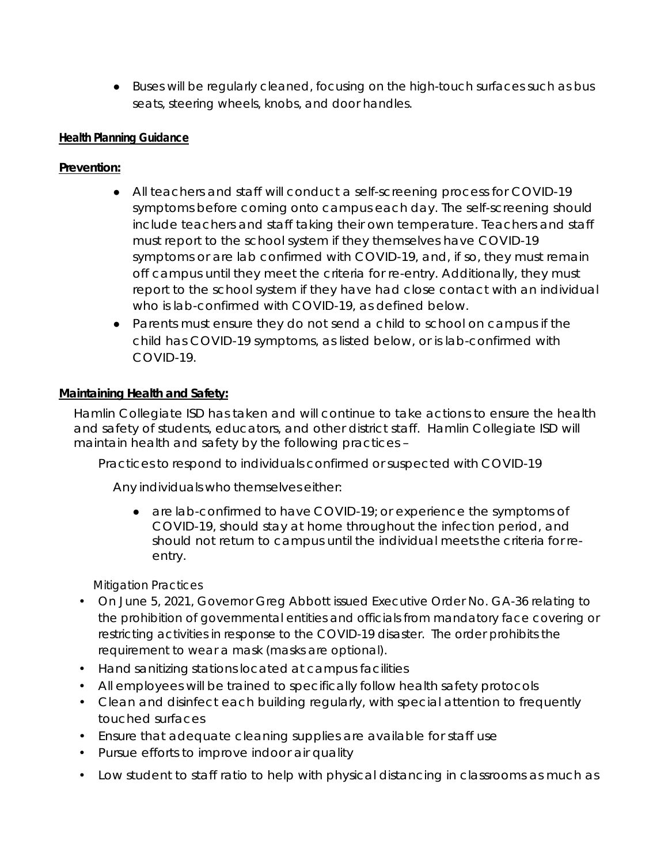● Buses will be regularly cleaned, focusing on the high-touch surfaces such as bus seats, steering wheels, knobs, and door handles.

### **Health Planning Guidance**

# **Prevention:**

- All teachers and staff will conduct a self-screening process for COVID-19 symptoms before coming onto campus each day. The self-screening should include teachers and staff taking their own temperature. Teachers and staff must report to the school system if they themselves have COVID-19 symptoms or are lab confirmed with COVID-19, and, if so, they must remain off campus until they meet the criteria for re-entry. Additionally, they must report to the school system if they have had close contact with an individual who is lab-confirmed with COVID-19, as defined below.
- Parents must ensure they do not send a child to school on campus if the child has COVID-19 symptoms, as listed below, or is lab-confirmed with COVID-19.

# **Maintaining Health and Safety:**

Hamlin Collegiate ISD has taken and will continue to take actions to ensure the health and safety of students, educators, and other district staff. Hamlin Collegiate ISD will maintain health and safety by the following practices –

*Practices to respond to individuals confirmed or suspected with COVID-19*

Any individuals who themselves either:

● are lab-confirmed to have COVID-19; or experience the symptoms of COVID-19, should stay at home throughout the infection period, and should not return to campus until the individual meets the criteria for reentry.

#### *Mitigation Practices*

- On June 5, 2021, Governor Greg Abbott issued Executive Order No. GA-36 relating to the prohibition of governmental entities and officials from mandatory face covering or restricting activities in response to the COVID-19 disaster. The order prohibits the requirement to wear a mask (masks are optional).
- Hand sanitizing stations located at campus facilities
- All employees will be trained to specifically follow health safety protocols
- Clean and disinfect each building regularly, with special attention to frequently touched surfaces
- Ensure that adequate cleaning supplies are available for staff use
- Pursue efforts to improve indoor air quality
- Low student to staff ratio to help with physical distancing in classrooms as much as